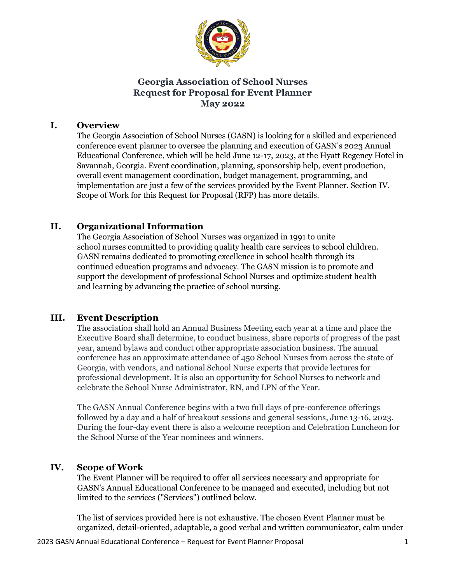

## **Georgia Association of School Nurses Request for Proposal for Event Planner May 2022**

#### **I. Overview**

The Georgia Association of School Nurses (GASN) is looking for a skilled and experienced conference event planner to oversee the planning and execution of GASN's 2023 Annual Educational Conference, which will be held June 12-17, 2023, at the Hyatt Regency Hotel in Savannah, Georgia. Event coordination, planning, sponsorship help, event production, overall event management coordination, budget management, programming, and implementation are just a few of the services provided by the Event Planner. Section IV. Scope of Work for this Request for Proposal (RFP) has more details.

#### **II. Organizational Information**

The Georgia Association of School Nurses was organized in 1991 to unite school nurses committed to providing quality health care services to school children. GASN remains dedicated to promoting excellence in school health through its continued education programs and advocacy. The GASN mission is to promote and support the development of professional School Nurses and optimize student health and learning by advancing the practice of school nursing.

#### **III. Event Description**

The association shall hold an Annual Business Meeting each year at a time and place the Executive Board shall determine, to conduct business, share reports of progress of the past year, amend bylaws and conduct other appropriate association business. The annual conference has an approximate attendance of 450 School Nurses from across the state of Georgia, with vendors, and national School Nurse experts that provide lectures for professional development. It is also an opportunity for School Nurses to network and celebrate the School Nurse Administrator, RN, and LPN of the Year.

 The GASN Annual Conference begins with a two full days of pre-conference offerings followed by a day and a half of breakout sessions and general sessions, June 13-16, 2023. During the four-day event there is also a welcome reception and Celebration Luncheon for the School Nurse of the Year nominees and winners.

#### **IV. Scope of Work**

The Event Planner will be required to offer all services necessary and appropriate for GASN's Annual Educational Conference to be managed and executed, including but not limited to the services ("Services") outlined below.

 The list of services provided here is not exhaustive. The chosen Event Planner must be organized, detail-oriented, adaptable, a good verbal and written communicator, calm under

2023 GASN Annual Educational Conference – Request for Event Planner Proposal 1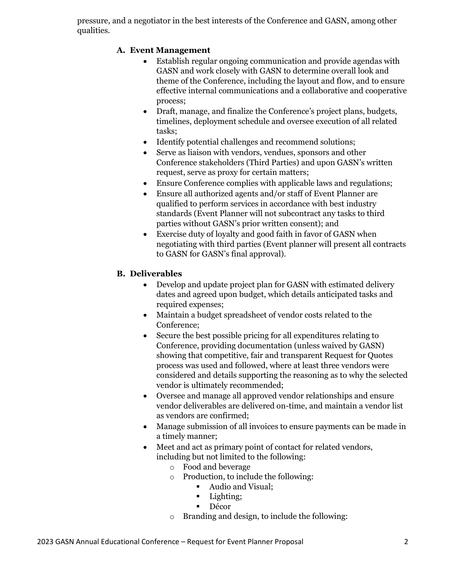pressure, and a negotiator in the best interests of the Conference and GASN, among other qualities.

## **A. Event Management**

- Establish regular ongoing communication and provide agendas with GASN and work closely with GASN to determine overall look and theme of the Conference, including the layout and flow, and to ensure effective internal communications and a collaborative and cooperative process;
- Draft, manage, and finalize the Conference's project plans, budgets, timelines, deployment schedule and oversee execution of all related tasks;
- Identify potential challenges and recommend solutions;
- Serve as liaison with vendors, vendues, sponsors and other Conference stakeholders (Third Parties) and upon GASN's written request, serve as proxy for certain matters;
- Ensure Conference complies with applicable laws and regulations;
- Ensure all authorized agents and/or staff of Event Planner are qualified to perform services in accordance with best industry standards (Event Planner will not subcontract any tasks to third parties without GASN's prior written consent); and
- Exercise duty of loyalty and good faith in favor of GASN when negotiating with third parties (Event planner will present all contracts to GASN for GASN's final approval).

## **B. Deliverables**

- Develop and update project plan for GASN with estimated delivery dates and agreed upon budget, which details anticipated tasks and required expenses;
- Maintain a budget spreadsheet of vendor costs related to the Conference;
- Secure the best possible pricing for all expenditures relating to Conference, providing documentation (unless waived by GASN) showing that competitive, fair and transparent Request for Quotes process was used and followed, where at least three vendors were considered and details supporting the reasoning as to why the selected vendor is ultimately recommended;
- Oversee and manage all approved vendor relationships and ensure vendor deliverables are delivered on-time, and maintain a vendor list as vendors are confirmed;
- Manage submission of all invoices to ensure payments can be made in a timely manner;
- Meet and act as primary point of contact for related vendors, including but not limited to the following:
	- o Food and beverage
	- o Production, to include the following:
		- Audio and Visual;
		- Lighting;
		- Décor
	- o Branding and design, to include the following: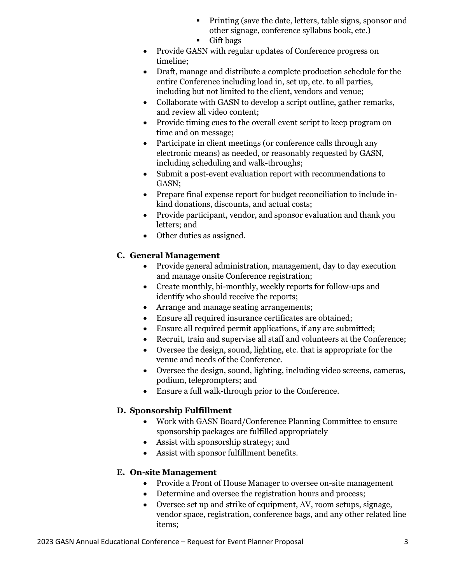- **•** Printing (save the date, letters, table signs, sponsor and other signage, conference syllabus book, etc.)
- Gift bags
- Provide GASN with regular updates of Conference progress on timeline;
- Draft, manage and distribute a complete production schedule for the entire Conference including load in, set up, etc. to all parties, including but not limited to the client, vendors and venue;
- Collaborate with GASN to develop a script outline, gather remarks, and review all video content;
- Provide timing cues to the overall event script to keep program on time and on message;
- Participate in client meetings (or conference calls through any electronic means) as needed, or reasonably requested by GASN, including scheduling and walk-throughs;
- Submit a post-event evaluation report with recommendations to GASN;
- Prepare final expense report for budget reconciliation to include inkind donations, discounts, and actual costs;
- Provide participant, vendor, and sponsor evaluation and thank you letters; and
- Other duties as assigned.

# **C. General Management**

- Provide general administration, management, day to day execution and manage onsite Conference registration;
- Create monthly, bi-monthly, weekly reports for follow-ups and identify who should receive the reports;
- Arrange and manage seating arrangements;
- Ensure all required insurance certificates are obtained;
- Ensure all required permit applications, if any are submitted;
- Recruit, train and supervise all staff and volunteers at the Conference;
- Oversee the design, sound, lighting, etc. that is appropriate for the venue and needs of the Conference.
- Oversee the design, sound, lighting, including video screens, cameras, podium, teleprompters; and
- Ensure a full walk-through prior to the Conference.

# **D. Sponsorship Fulfillment**

- Work with GASN Board/Conference Planning Committee to ensure sponsorship packages are fulfilled appropriately
- Assist with sponsorship strategy; and
- Assist with sponsor fulfillment benefits.

## **E. On-site Management**

- Provide a Front of House Manager to oversee on-site management
- Determine and oversee the registration hours and process;
- Oversee set up and strike of equipment, AV, room setups, signage, vendor space, registration, conference bags, and any other related line items;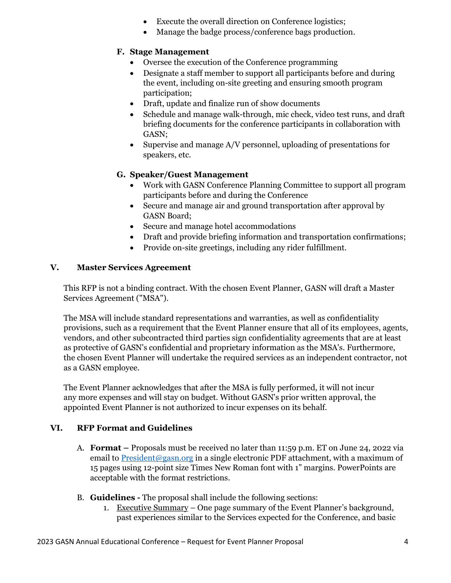- Execute the overall direction on Conference logistics;
- Manage the badge process/conference bags production.

## **F. Stage Management**

- Oversee the execution of the Conference programming
- Designate a staff member to support all participants before and during the event, including on-site greeting and ensuring smooth program participation;
- Draft, update and finalize run of show documents
- Schedule and manage walk-through, mic check, video test runs, and draft briefing documents for the conference participants in collaboration with GASN;
- Supervise and manage A/V personnel, uploading of presentations for speakers, etc.

## **G. Speaker/Guest Management**

- Work with GASN Conference Planning Committee to support all program participants before and during the Conference
- Secure and manage air and ground transportation after approval by GASN Board;
- Secure and manage hotel accommodations
- Draft and provide briefing information and transportation confirmations;
- Provide on-site greetings, including any rider fulfillment.

#### **V. Master Services Agreement**

This RFP is not a binding contract. With the chosen Event Planner, GASN will draft a Master Services Agreement ("MSA").

The MSA will include standard representations and warranties, as well as confidentiality provisions, such as a requirement that the Event Planner ensure that all of its employees, agents, vendors, and other subcontracted third parties sign confidentiality agreements that are at least as protective of GASN's confidential and proprietary information as the MSA's. Furthermore, the chosen Event Planner will undertake the required services as an independent contractor, not as a GASN employee.

The Event Planner acknowledges that after the MSA is fully performed, it will not incur any more expenses and will stay on budget. Without GASN's prior written approval, the appointed Event Planner is not authorized to incur expenses on its behalf.

## **VI. RFP Format and Guidelines**

- A. **Format –** Proposals must be received no later than 11:59 p.m. ET on June 24, 2022 via email to [President@gasn.org](mailto:President@gasn.org) in a single electronic PDF attachment, with a maximum of 15 pages using 12-point size Times New Roman font with 1" margins. PowerPoints are acceptable with the format restrictions.
- B. **Guidelines -** The proposal shall include the following sections:
	- 1. Executive Summary One page summary of the Event Planner's background, past experiences similar to the Services expected for the Conference, and basic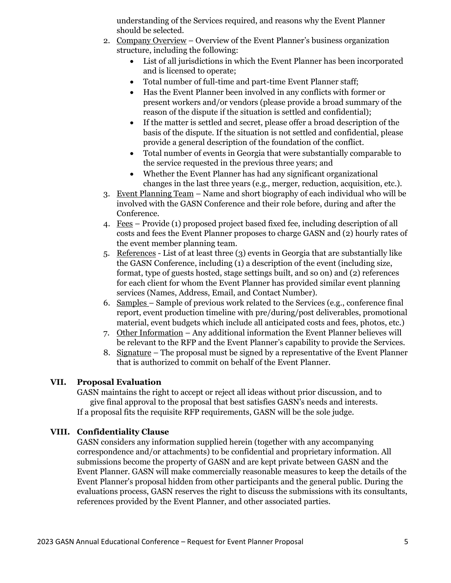understanding of the Services required, and reasons why the Event Planner should be selected.

- 2. Company Overview Overview of the Event Planner's business organization structure, including the following:
	- List of all jurisdictions in which the Event Planner has been incorporated and is licensed to operate;
	- Total number of full-time and part-time Event Planner staff;
	- Has the Event Planner been involved in any conflicts with former or present workers and/or vendors (please provide a broad summary of the reason of the dispute if the situation is settled and confidential);
	- If the matter is settled and secret, please offer a broad description of the basis of the dispute. If the situation is not settled and confidential, please provide a general description of the foundation of the conflict.
	- Total number of events in Georgia that were substantially comparable to the service requested in the previous three years; and
	- Whether the Event Planner has had any significant organizational changes in the last three years (e.g., merger, reduction, acquisition, etc.).
- 3. Event Planning Team Name and short biography of each individual who will be involved with the GASN Conference and their role before, during and after the Conference.
- 4. Fees Provide (1) proposed project based fixed fee, including description of all costs and fees the Event Planner proposes to charge GASN and (2) hourly rates of the event member planning team.
- 5. References List of at least three (3) events in Georgia that are substantially like the GASN Conference, including (1) a description of the event (including size, format, type of guests hosted, stage settings built, and so on) and (2) references for each client for whom the Event Planner has provided similar event planning services (Names, Address, Email, and Contact Number).
- 6. Samples Sample of previous work related to the Services (e.g., conference final report, event production timeline with pre/during/post deliverables, promotional material, event budgets which include all anticipated costs and fees, photos, etc.)
- 7. Other Information Any additional information the Event Planner believes will be relevant to the RFP and the Event Planner's capability to provide the Services.
- 8. Signature The proposal must be signed by a representative of the Event Planner that is authorized to commit on behalf of the Event Planner.

#### **VII. Proposal Evaluation**

GASN maintains the right to accept or reject all ideas without prior discussion, and to give final approval to the proposal that best satisfies GASN's needs and interests. If a proposal fits the requisite RFP requirements, GASN will be the sole judge.

#### **VIII. Confidentiality Clause**

GASN considers any information supplied herein (together with any accompanying correspondence and/or attachments) to be confidential and proprietary information. All submissions become the property of GASN and are kept private between GASN and the Event Planner. GASN will make commercially reasonable measures to keep the details of the Event Planner's proposal hidden from other participants and the general public. During the evaluations process, GASN reserves the right to discuss the submissions with its consultants, references provided by the Event Planner, and other associated parties.